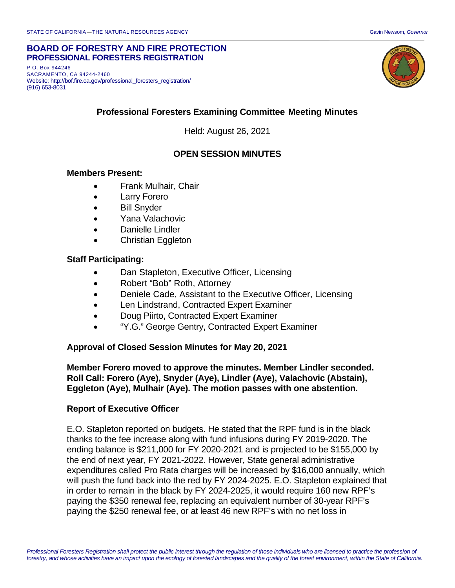#### **BOARD OF FORESTRY AND FIRE PROTECTION PROFESSIONAL FORESTERS REGISTRATION**

P.O. Box 944246 SACRAMENTO, CA 94244-2460 Website: http://bof.fire.ca.gov/professional\_foresters\_registration/ (916) 653-8031



# **Professional Foresters Examining Committee Meeting Minutes**

Held: August 26, 2021

## **OPEN SESSION MINUTES**

#### **Members Present:**

- Frank Mulhair, Chair
- Larry Forero
- Bill Snyder
- Yana Valachovic
- Danielle Lindler
- Christian Eggleton

# **Staff Participating:**

- Dan Stapleton, Executive Officer, Licensing
- Robert "Bob" Roth, Attorney
- Deniele Cade, Assistant to the Executive Officer, Licensing
- Len Lindstrand, Contracted Expert Examiner
- Doug Piirto, Contracted Expert Examiner
- "Y.G." George Gentry, Contracted Expert Examiner

### **Approval of Closed Session Minutes for May 20, 2021**

**Member Forero moved to approve the minutes. Member Lindler seconded. Roll Call: Forero (Aye), Snyder (Aye), Lindler (Aye), Valachovic (Abstain), Eggleton (Aye), Mulhair (Aye). The motion passes with one abstention.**

### **Report of Executive Officer**

E.O. Stapleton reported on budgets. He stated that the RPF fund is in the black thanks to the fee increase along with fund infusions during FY 2019-2020. The ending balance is \$211,000 for FY 2020-2021 and is projected to be \$155,000 by the end of next year, FY 2021-2022. However, State general administrative expenditures called Pro Rata charges will be increased by \$16,000 annually, which will push the fund back into the red by FY 2024-2025. E.O. Stapleton explained that in order to remain in the black by FY 2024-2025, it would require 160 new RPF's paying the \$350 renewal fee, replacing an equivalent number of 30-year RPF's paying the \$250 renewal fee, or at least 46 new RPF's with no net loss in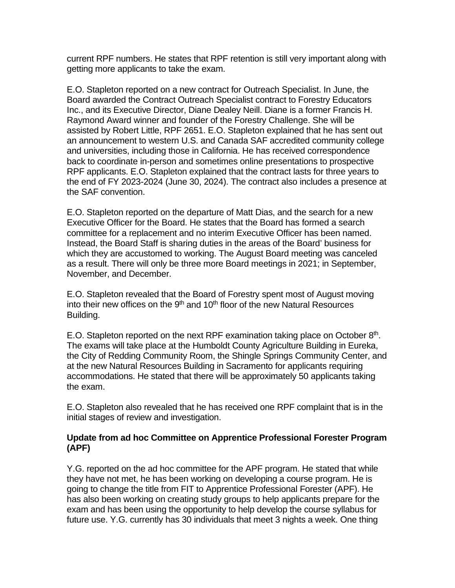current RPF numbers. He states that RPF retention is still very important along with getting more applicants to take the exam.

E.O. Stapleton reported on a new contract for Outreach Specialist. In June, the Board awarded the Contract Outreach Specialist contract to Forestry Educators Inc., and its Executive Director, Diane Dealey Neill. Diane is a former Francis H. Raymond Award winner and founder of the Forestry Challenge. She will be assisted by Robert Little, RPF 2651. E.O. Stapleton explained that he has sent out an announcement to western U.S. and Canada SAF accredited community college and universities, including those in California. He has received correspondence back to coordinate in-person and sometimes online presentations to prospective RPF applicants. E.O. Stapleton explained that the contract lasts for three years to the end of FY 2023-2024 (June 30, 2024). The contract also includes a presence at the SAF convention.

E.O. Stapleton reported on the departure of Matt Dias, and the search for a new Executive Officer for the Board. He states that the Board has formed a search committee for a replacement and no interim Executive Officer has been named. Instead, the Board Staff is sharing duties in the areas of the Board' business for which they are accustomed to working. The August Board meeting was canceled as a result. There will only be three more Board meetings in 2021; in September, November, and December.

E.O. Stapleton revealed that the Board of Forestry spent most of August moving into their new offices on the 9<sup>th</sup> and 10<sup>th</sup> floor of the new Natural Resources Building.

E.O. Stapleton reported on the next RPF examination taking place on October 8<sup>th</sup>. The exams will take place at the Humboldt County Agriculture Building in Eureka, the City of Redding Community Room, the Shingle Springs Community Center, and at the new Natural Resources Building in Sacramento for applicants requiring accommodations. He stated that there will be approximately 50 applicants taking the exam.

E.O. Stapleton also revealed that he has received one RPF complaint that is in the initial stages of review and investigation.

## **Update from ad hoc Committee on Apprentice Professional Forester Program (APF)**

Y.G. reported on the ad hoc committee for the APF program. He stated that while they have not met, he has been working on developing a course program. He is going to change the title from FIT to Apprentice Professional Forester (APF). He has also been working on creating study groups to help applicants prepare for the exam and has been using the opportunity to help develop the course syllabus for future use. Y.G. currently has 30 individuals that meet 3 nights a week. One thing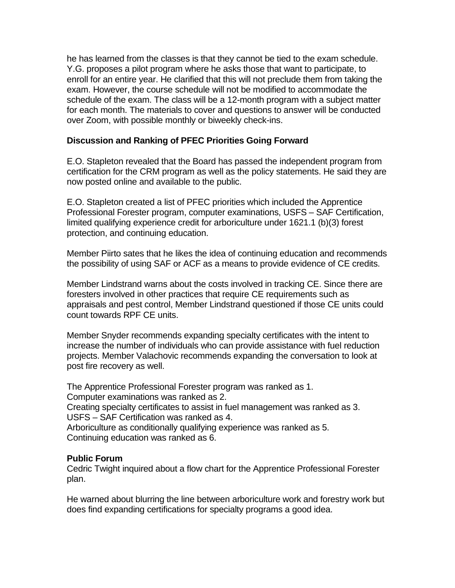he has learned from the classes is that they cannot be tied to the exam schedule. Y.G. proposes a pilot program where he asks those that want to participate, to enroll for an entire year. He clarified that this will not preclude them from taking the exam. However, the course schedule will not be modified to accommodate the schedule of the exam. The class will be a 12-month program with a subject matter for each month. The materials to cover and questions to answer will be conducted over Zoom, with possible monthly or biweekly check-ins.

### **Discussion and Ranking of PFEC Priorities Going Forward**

E.O. Stapleton revealed that the Board has passed the independent program from certification for the CRM program as well as the policy statements. He said they are now posted online and available to the public.

E.O. Stapleton created a list of PFEC priorities which included the Apprentice Professional Forester program, computer examinations, USFS – SAF Certification, limited qualifying experience credit for arboriculture under 1621.1 (b)(3) forest protection, and continuing education.

Member Piirto sates that he likes the idea of continuing education and recommends the possibility of using SAF or ACF as a means to provide evidence of CE credits.

Member Lindstrand warns about the costs involved in tracking CE. Since there are foresters involved in other practices that require CE requirements such as appraisals and pest control, Member Lindstrand questioned if those CE units could count towards RPF CE units.

Member Snyder recommends expanding specialty certificates with the intent to increase the number of individuals who can provide assistance with fuel reduction projects. Member Valachovic recommends expanding the conversation to look at post fire recovery as well.

The Apprentice Professional Forester program was ranked as 1. Computer examinations was ranked as 2. Creating specialty certificates to assist in fuel management was ranked as 3. USFS – SAF Certification was ranked as 4. Arboriculture as conditionally qualifying experience was ranked as 5. Continuing education was ranked as 6.

### **Public Forum**

Cedric Twight inquired about a flow chart for the Apprentice Professional Forester plan.

He warned about blurring the line between arboriculture work and forestry work but does find expanding certifications for specialty programs a good idea.